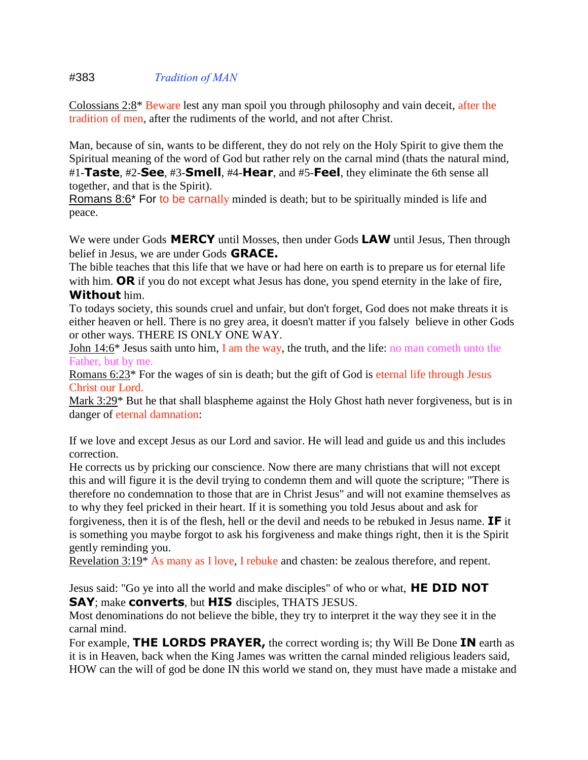## #383 *Tradition of MAN*

Colossians 2:8\* Beware lest any man spoil you through philosophy and vain deceit, after the tradition of men, after the rudiments of the world, and not after Christ.

Man, because of sin, wants to be different, they do not rely on the Holy Spirit to give them the Spiritual meaning of the word of God but rather rely on the carnal mind (thats the natural mind, #1-**Taste**, #2-**See**, #3-**Smell**, #4-**Hear**, and #5-**Feel**, they eliminate the 6th sense all together, and that is the Spirit).

Romans 8:6<sup>\*</sup> For to be carnally minded is death; but to be spiritually minded is life and peace.

We were under Gods **MERCY** until Mosses, then under Gods **LAW** until Jesus, Then through belief in Jesus, we are under Gods **GRACE.**

The bible teaches that this life that we have or had here on earth is to prepare us for eternal life with him. **OR** if you do not except what Jesus has done, you spend eternity in the lake of fire, **Without** him.

To todays society, this sounds cruel and unfair, but don't forget, God does not make threats it is either heaven or hell. There is no grey area, it doesn't matter if you falsely believe in other Gods or other ways. THERE IS ONLY ONE WAY.

John 14:6\* Jesus saith unto him, I am the way, the truth, and the life: no man cometh unto the Father, but by me.

Romans 6:23\* For the wages of sin is death; but the gift of God is eternal life through Jesus Christ our Lord.

Mark 3:29\* But he that shall blaspheme against the Holy Ghost hath never forgiveness, but is in danger of eternal damnation:

If we love and except Jesus as our Lord and savior. He will lead and guide us and this includes correction.

He corrects us by pricking our conscience. Now there are many christians that will not except this and will figure it is the devil trying to condemn them and will quote the scripture; "There is therefore no condemnation to those that are in Christ Jesus" and will not examine themselves as to why they feel pricked in their heart. If it is something you told Jesus about and ask for forgiveness, then it is of the flesh, hell or the devil and needs to be rebuked in Jesus name. **IF** it

is something you maybe forgot to ask his forgiveness and make things right, then it is the Spirit gently reminding you.

Revelation 3:19\* As many as I love, I rebuke and chasten: be zealous therefore, and repent.

Jesus said: "Go ye into all the world and make disciples" of who or what, **HE DID NOT SAY**; make **converts**, but **HIS** disciples, THATS JESUS.

Most denominations do not believe the bible, they try to interpret it the way they see it in the carnal mind.

For example, **THE LORDS PRAYER,** the correct wording is; thy Will Be Done **IN** earth as it is in Heaven, back when the King James was written the carnal minded religious leaders said, HOW can the will of god be done IN this world we stand on, they must have made a mistake and